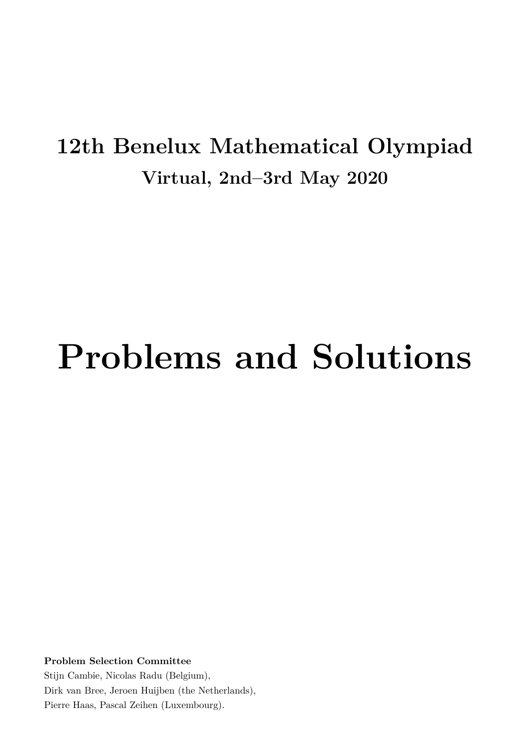# **12th Benelux Mathematical Olympiad Virtual, 2nd–3rd May 2020**

# **Problems and Solutions**

**Problem Selection Committee**

Stijn Cambie, Nicolas Radu (Belgium), Dirk van Bree, Jeroen Huijben (the Netherlands), Pierre Haas, Pascal Zeihen (Luxembourg).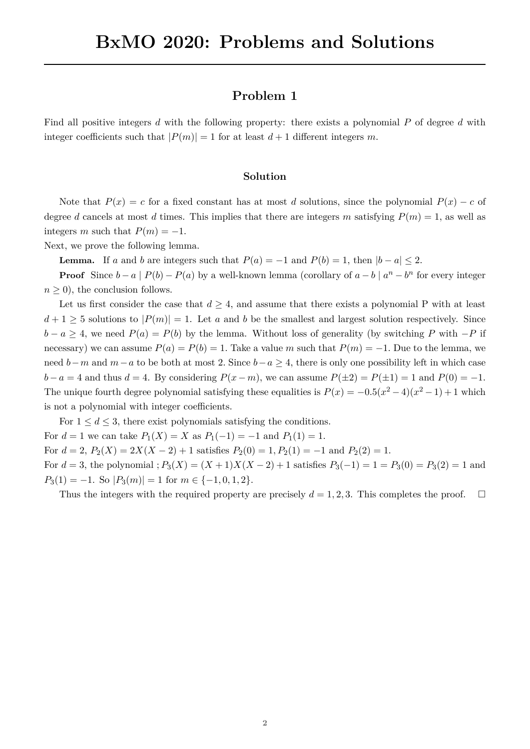Find all positive integers *d* with the following property: there exists a polynomial *P* of degree *d* with integer coefficients such that  $|P(m)| = 1$  for at least  $d + 1$  different integers m.

#### **Solution**

Note that  $P(x) = c$  for a fixed constant has at most *d* solutions, since the polynomial  $P(x) - c$  of degree *d* cancels at most *d* times. This implies that there are integers *m* satisfying  $P(m) = 1$ , as well as integers *m* such that  $P(m) = -1$ .

Next, we prove the following lemma.

**Lemma.** If *a* and *b* are integers such that  $P(a) = -1$  and  $P(b) = 1$ , then  $|b - a| \leq 2$ .

**Proof** Since  $b - a \mid P(b) - P(a)$  by a well-known lemma (corollary of  $a - b \mid a^n - b^n$  for every integer  $n \geq 0$ , the conclusion follows.

Let us first consider the case that  $d \geq 4$ , and assume that there exists a polynomial P with at least  $d+1 \geq 5$  solutions to  $|P(m)| = 1$ . Let *a* and *b* be the smallest and largest solution respectively. Since  $b - a \geq 4$ , we need  $P(a) = P(b)$  by the lemma. Without loss of generality (by switching *P* with  $-P$  if necessary) we can assume  $P(a) = P(b) = 1$ . Take a value *m* such that  $P(m) = -1$ . Due to the lemma, we need *b*−*m* and *m*−*a* to be both at most 2*.* Since *b*−*a* ≥ 4, there is only one possibility left in which case *b* − *a* = 4 and thus *d* = 4. By considering  $P(x - m)$ , we can assume  $P(\pm 2) = P(\pm 1) = 1$  and  $P(0) = -1$ *.* The unique fourth degree polynomial satisfying these equalities is  $P(x) = -0.5(x^2 - 4)(x^2 - 1) + 1$  which is not a polynomial with integer coefficients.

For  $1 \leq d \leq 3$ , there exist polynomials satisfying the conditions. For  $d = 1$  we can take  $P_1(X) = X$  as  $P_1(-1) = -1$  and  $P_1(1) = 1$ . For  $d = 2$ ,  $P_2(X) = 2X(X - 2) + 1$  satisfies  $P_2(0) = 1, P_2(1) = -1$  and  $P_2(2) = 1$ . For  $d = 3$ , the polynomial  $; P_3(X) = (X + 1)X(X - 2) + 1$  satisfies  $P_3(-1) = 1 = P_3(0) = P_3(2) = 1$  and  $P_3(1) = -1$ . So  $|P_3(m)| = 1$  for  $m \in \{-1, 0, 1, 2\}$ .

Thus the integers with the required property are precisely  $d = 1, 2, 3$ . This completes the proof. □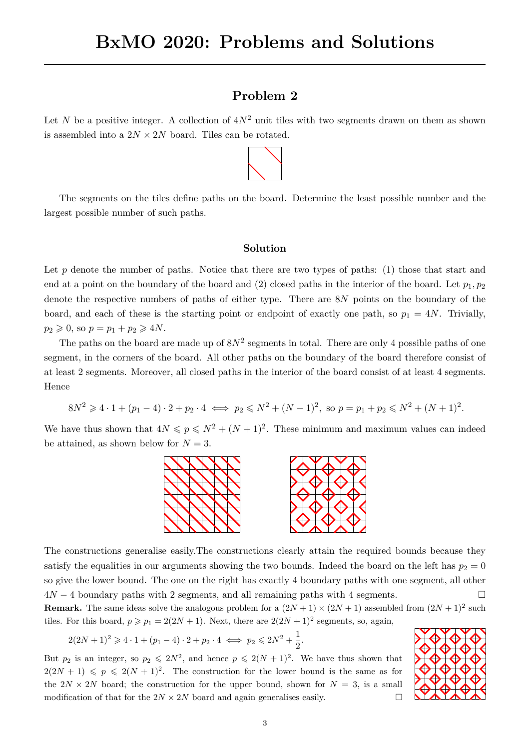Let *N* be a positive integer. A collection of  $4N^2$  unit tiles with two segments drawn on them as shown is assembled into a  $2N \times 2N$  board. Tiles can be rotated.



The segments on the tiles define paths on the board. Determine the least possible number and the largest possible number of such paths.

#### **Solution**

Let  $p$  denote the number of paths. Notice that there are two types of paths: (1) those that start and end at a point on the boundary of the board and (2) closed paths in the interior of the board. Let  $p_1, p_2$ denote the respective numbers of paths of either type. There are 8*N* points on the boundary of the board, and each of these is the starting point or endpoint of exactly one path, so  $p_1 = 4N$ . Trivially,  $p_2 \geq 0$ , so  $p = p_1 + p_2 \geq 4N$ .

The paths on the board are made up of  $8N^2$  segments in total. There are only 4 possible paths of one segment, in the corners of the board. All other paths on the boundary of the board therefore consist of at least 2 segments. Moreover, all closed paths in the interior of the board consist of at least 4 segments. Hence

$$
8N^2 \geq 4 \cdot 1 + (p_1 - 4) \cdot 2 + p_2 \cdot 4 \iff p_2 \leq N^2 + (N - 1)^2, \text{ so } p = p_1 + p_2 \leq N^2 + (N + 1)^2.
$$

We have thus shown that  $4N \leq p \leq N^2 + (N+1)^2$ . These minimum and maximum values can indeed be attained, as shown below for  $N = 3$ .



The constructions generalise easily.The constructions clearly attain the required bounds because they satisfy the equalities in our arguments showing the two bounds. Indeed the board on the left has  $p_2 = 0$ so give the lower bound. The one on the right has exactly 4 boundary paths with one segment, all other  $4N-4$  boundary paths with 2 segments, and all remaining paths with 4 segments. □

**Remark.** The same ideas solve the analogous problem for a  $(2N + 1) \times (2N + 1)$  assembled from  $(2N + 1)^2$  such tiles. For this board,  $p \ge p_1 = 2(2N + 1)$ . Next, there are  $2(2N + 1)^2$  segments, so, again,

$$
2(2N + 1)^2 \ge 4 \cdot 1 + (p_1 - 4) \cdot 2 + p_2 \cdot 4 \iff p_2 \le 2N^2 + \frac{1}{2}.
$$

But  $p_2$  is an integer, so  $p_2 \leq 2N^2$ , and hence  $p \leq 2(N+1)^2$ . We have thus shown that  $2(2N + 1) \leqslant p \leqslant 2(N + 1)^2$ . The construction for the lower bound is the same as for the  $2N \times 2N$  board; the construction for the upper bound, shown for  $N = 3$ , is a small modification of that for the  $2N \times 2N$  board and again generalises easily.  $\Box$ 

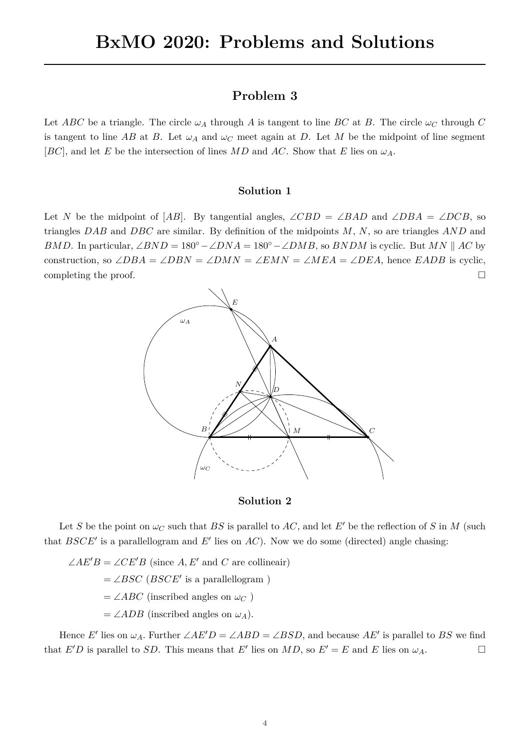Let *ABC* be a triangle. The circle  $\omega_A$  through *A* is tangent to line *BC* at *B*. The circle  $\omega_C$  through *C* is tangent to line AB at B. Let  $\omega_A$  and  $\omega_C$  meet again at D. Let M be the midpoint of line segment [*BC*], and let *E* be the intersection of lines *MD* and *AC*. Show that *E* lies on  $\omega_A$ .

#### **Solution 1**

Let *N* be the midpoint of [*AB*]. By tangential angles,  $\angle CBD = \angle BAD$  and  $\angle DBA = \angle DCB$ , so triangles *DAB* and *DBC* are similar. By definition of the midpoints *M*, *N*, so are triangles *AND* and *BMD*. In particular,  $\angle BND = 180° - \angle DNA = 180° - \angle DMB$ , so *BNDM* is cyclic. But *MN* || *AC* by construction, so  $\angle DBA = \angle DBN = \angle DMN = \angle EMN = \angle MEA = \angle DEA$ , hence *EADB* is cyclic, completing the proof.  $\Box$ 



**Solution 2**

Let *S* be the point on  $\omega_C$  such that *BS* is parallel to *AC*, and let *E'* be the reflection of *S* in *M* (such that *BSCE*′ is a parallellogram and *E*′ lies on *AC*). Now we do some (directed) angle chasing:

 $\angle AE'B = \angle CE'B$  (since *A, E'* and *C* are collineair)  $=\angle BSC$  (*BSCE'* is a parallellogram)  $=\angle ABC$  (inscribed angles on  $\omega_C$ )  $=\angle ADB$  (inscribed angles on  $\omega_A$ ).

Hence *E*<sup>'</sup> lies on  $\omega_A$ . Further  $\angle AE'D = \angle ABD = \angle BSD$ , and because  $AE'$  is parallel to *BS* we find that  $E'D$  is parallel to *SD*. This means that  $E'$  lies on  $MD$ , so  $E' = E$  and  $E$  lies on  $\omega_A$ .